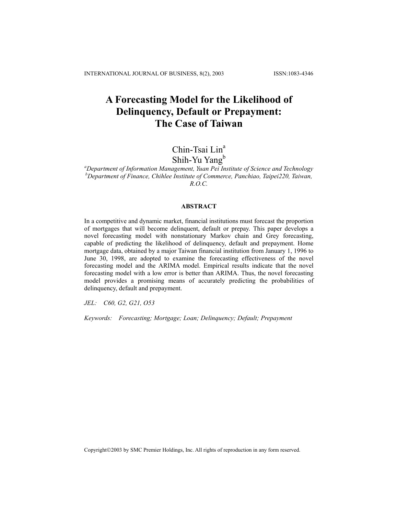# **A Forecasting Model for the Likelihood of Delinquency, Default or Prepayment: The Case of Taiwan**

# Chin-Tsai Lin<sup>a</sup>

# Shih-Yu Yang<sup>b</sup>

*a Department of Information Management, Yuan Pei Institute of Science and Technology b Department of Finance, Chihlee Institute of Commerce, Panchiao, Taipei220, Taiwan, R.O.C.* 

#### **ABSTRACT**

In a competitive and dynamic market, financial institutions must forecast the proportion of mortgages that will become delinquent, default or prepay. This paper develops a novel forecasting model with nonstationary Markov chain and Grey forecasting, capable of predicting the likelihood of delinquency, default and prepayment. Home mortgage data, obtained by a major Taiwan financial institution from January 1, 1996 to June 30, 1998, are adopted to examine the forecasting effectiveness of the novel forecasting model and the ARIMA model. Empirical results indicate that the novel forecasting model with a low error is better than ARIMA. Thus, the novel forecasting model provides a promising means of accurately predicting the probabilities of delinquency, default and prepayment.

*JEL: C60, G2, G21, O53* 

*Keywords: Forecasting; Mortgage; Loan; Delinquency; Default; Prepayment*

Copyright©2003 by SMC Premier Holdings, Inc. All rights of reproduction in any form reserved.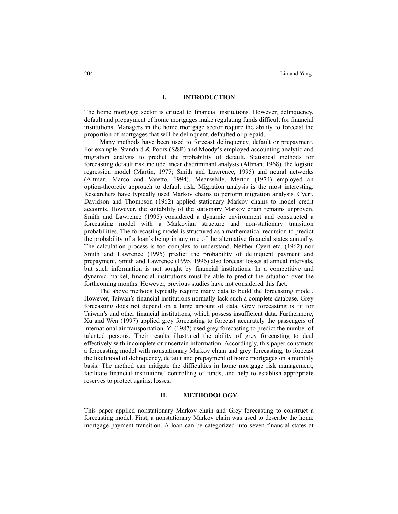#### **I. INTRODUCTION**

The home mortgage sector is critical to financial institutions. However, delinquency, default and prepayment of home mortgages make regulating funds difficult for financial institutions. Managers in the home mortgage sector require the ability to forecast the proportion of mortgages that will be delinquent, defaulted or prepaid.

Many methods have been used to forecast delinquency, default or prepayment. For example, Standard & Poors (S&P) and Moody's employed accounting analytic and migration analysis to predict the probability of default. Statistical methods for forecasting default risk include linear discriminant analysis (Altman, 1968), the logistic regression model (Martin, 1977; Smith and Lawrence, 1995) and neural networks (Altman, Marco and Varetto, 1994). Meanwhile, Merton (1974) employed an option-theoretic approach to default risk. Migration analysis is the most interesting. Researchers have typically used Markov chains to perform migration analysis. Cyert, Davidson and Thompson (1962) applied stationary Markov chains to model credit accounts. However, the suitability of the stationary Markov chain remains unproven. Smith and Lawrence (1995) considered a dynamic environment and constructed a forecasting model with a Markovian structure and non-stationary transition probabilities. The forecasting model is structured as a mathematical recursion to predict the probability of a loan's being in any one of the alternative financial states annually. The calculation process is too complex to understand. Neither Cyert etc. (1962) nor Smith and Lawrence (1995) predict the probability of delinquent payment and prepayment. Smith and Lawrence (1995, 1996) also forecast losses at annual intervals, but such information is not sought by financial institutions. In a competitive and dynamic market, financial institutions must be able to predict the situation over the forthcoming months. However, previous studies have not considered this fact.

The above methods typically require many data to build the forecasting model. However, Taiwan's financial institutions normally lack such a complete database. Grey forecasting does not depend on a large amount of data. Grey forecasting is fit for Taiwan's and other financial institutions, which possess insufficient data. Furthermore, Xu and Wen (1997) applied grey forecasting to forecast accurately the passengers of international air transportation. Yi (1987) used grey forecasting to predict the number of talented persons. Their results illustrated the ability of grey forecasting to deal effectively with incomplete or uncertain information. Accordingly, this paper constructs a forecasting model with nonstationary Markov chain and grey forecasting, to forecast the likelihood of delinquency, default and prepayment of home mortgages on a monthly basis. The method can mitigate the difficulties in home mortgage risk management, facilitate financial institutions' controlling of funds, and help to establish appropriate reserves to protect against losses.

### **II. METHODOLOGY**

This paper applied nonstationary Markov chain and Grey forecasting to construct a forecasting model. First, a nonstationary Markov chain was used to describe the home mortgage payment transition. A loan can be categorized into seven financial states at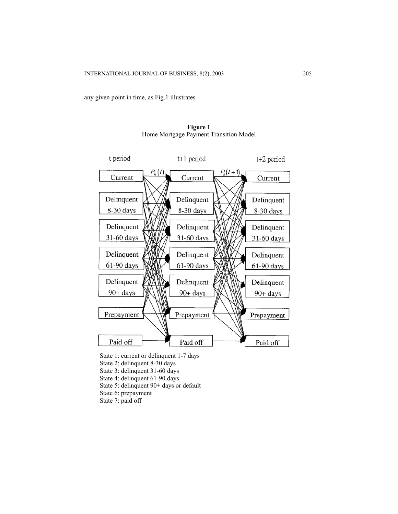any given point in time, as Fig.1 illustrates



**Figure 1**  Home Mortgage Payment Transition Model

- State 1: current or delinquent 1-7 days
- State 2: delinquent 8-30 days
- State 3: delinquent 31-60 days
- State 4: delinquent 61-90 days
- State 5: delinquent 90+ days or default
- State 6: prepayment
- State 7: paid off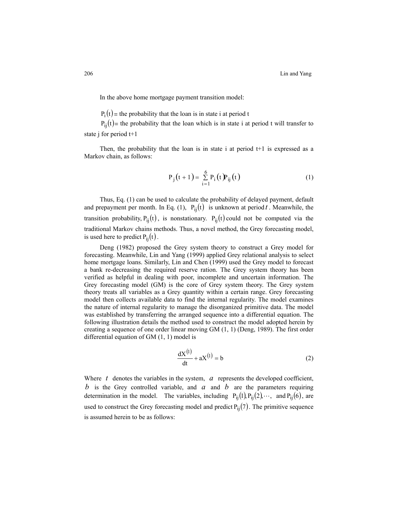In the above home mortgage payment transition model:

 $P_i(t)$  = the probability that the loan is in state i at period t

 $P_{ii}(t)$  = the probability that the loan which is in state i at period t will transfer to state j for period t+1

Then, the probability that the loan is in state i at period  $t+1$  is expressed as a Markov chain, as follows:

$$
P_{j}(t+1) = \sum_{i=1}^{6} P_{i}(t) P_{ij}(t)
$$
 (1)

Thus, Eq. (1) can be used to calculate the probability of delayed payment, default and prepayment per month. In Eq. (1),  $P_{ij}(t)$  is unknown at period t. Meanwhile, the transition probability,  $P_{ij}(t)$ , is nonstationary.  $P_{ij}(t)$  could not be computed via the traditional Markov chains methods. Thus, a novel method, the Grey forecasting model, is used here to predict  $P_{ii}(t)$ .

Deng (1982) proposed the Grey system theory to construct a Grey model for forecasting. Meanwhile, Lin and Yang (1999) applied Grey relational analysis to select home mortgage loans. Similarly, Lin and Chen (1999) used the Grey model to forecast a bank re-decreasing the required reserve ration. The Grey system theory has been verified as helpful in dealing with poor, incomplete and uncertain information. The Grey forecasting model (GM) is the core of Grey system theory. The Grey system theory treats all variables as a Grey quantity within a certain range. Grey forecasting model then collects available data to find the internal regularity. The model examines the nature of internal regularity to manage the disorganized primitive data. The model was established by transferring the arranged sequence into a differential equation. The following illustration details the method used to construct the model adopted herein by creating a sequence of one order linear moving GM (1, 1) (Deng, 1989). The first order differential equation of GM (1, 1) model is

$$
\frac{dX^{(1)}}{dt} + aX^{(1)} = b \tag{2}
$$

Where  $t$  denotes the variables in the system,  $a$  represents the developed coefficient, b is the Grey controlled variable, and  $a$  and  $b$  are the parameters requiring determination in the model. The variables, including  $P_{ij}(1)P_{ij}(2) \cdots$ , and  $P_{ij}(6)$ , are used to construct the Grey forecasting model and predict  $P_{ij}(7)$ . The primitive sequence is assumed herein to be as follows: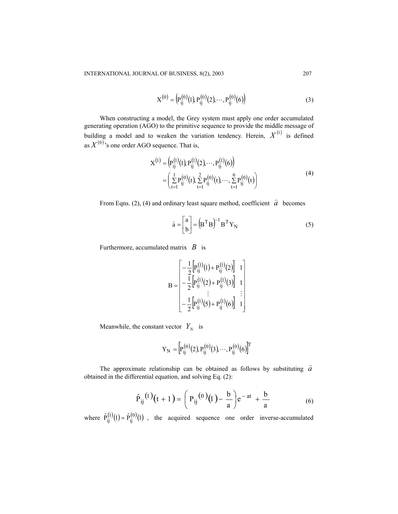$$
X^{(0)} = (P_{ij}^{(0)}(1), P_{ij}^{(0)}(2), \cdots, P_{ij}^{(0)}(6))
$$
\n(3)

When constructing a model, the Grey system must apply one order accumulated generating operation (AGO) to the primitive sequence to provide the middle message of building a model and to weaken the variation tendency. Herein,  $X^{(1)}$  is defined as  $X^{(0)}$ <sup>,</sup> s one order AGO sequence. That is,

$$
X^{(1)} = (P_{ij}^{(1)}(1), P_{ij}^{(1)}(2), \cdots, P_{ij}^{(1)}(6))
$$
  
= 
$$
\left(\sum_{t=1}^{1} P_{ij}^{(0)}(t), \sum_{t=1}^{2} P_{ij}^{(0)}(t), \cdots, \sum_{t=1}^{6} P_{ij}^{(0)}(t)\right)
$$
 (4)

From Eqns. (2), (4) and ordinary least square method, coefficient  $\hat{a}$  becomes

$$
\hat{\mathbf{a}} = \begin{bmatrix} \mathbf{a} \\ \mathbf{b} \end{bmatrix} = (\mathbf{B}^{\mathrm{T}} \mathbf{B})^{-1} \mathbf{B}^{\mathrm{T}} \mathbf{Y}_{\mathrm{N}} \tag{5}
$$

Furthermore, accumulated matrix *B* is

$$
\mathbf{B} = \begin{bmatrix} -\frac{1}{2} \left[ P_{ij}^{(1)}(1) + P_{ij}^{(1)}(2) \right] & 1 \\ -\frac{1}{2} \left[ P_{ij}^{(1)}(2) + P_{ij}^{(1)}(3) \right] & 1 \\ \vdots & \vdots & \vdots \\ -\frac{1}{2} \left[ P_{ij}^{(1)}(5) + P_{ij}^{(1)}(6) \right] & 1 \end{bmatrix}
$$

Meanwhile, the constant vector  $Y_N$  is

$$
Y_{N} = \left[ P_{ij}^{(0)}(2), P_{ij}^{(0)}(3), \cdots, P_{ij}^{(0)}(6) \right]^{T}
$$

The approximate relationship can be obtained as follows by substituting  $\hat{a}$ obtained in the differential equation, and solving Eq. (2):

$$
\hat{P}_{ij}^{(1)}(t+1) = \left(P_{ij}^{(0)}(t) - \frac{b}{a}\right) e^{-at} + \frac{b}{a}
$$
 (6)

where  $\hat{P}_{ij}^{(1)}(1) = \hat{P}_{ij}^{(0)}(1)$ , the acquired sequence one order inverse-accumulated  $\mathbf{f}_{ij}^{(1)}(1) =$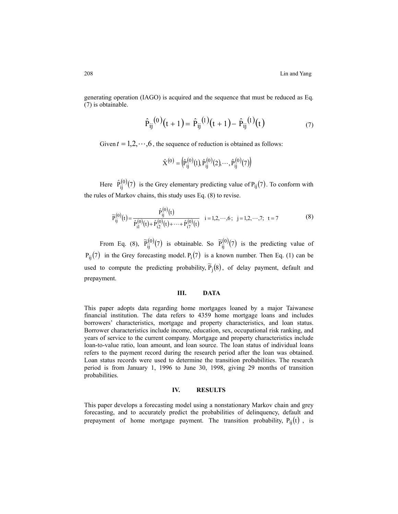generating operation (IAGO) is acquired and the sequence that must be reduced as Eq. (7) is obtainable.

$$
\hat{P}_{ij}^{(0)}(t+1) = \hat{P}_{ij}^{(1)}(t+1) - \hat{P}_{ij}^{(1)}(t)
$$
\n(7)

Given  $t = 1, 2, \dots, 6$ , the sequence of reduction is obtained as follows:

$$
\hat{\mathbf{X}}^{(0)} = (\hat{P}_{ij}^{(0)}(1), \hat{P}_{ij}^{(0)}(2), \cdots, \hat{P}_{ij}^{(0)}(7))
$$

Here  $\hat{P}_{ij}^{(0)}(7)$  is the Grey elementary predicting value of  $P_{ij}(7)$ . To conform with the rules of Markov chains, this study uses Eq. (8) to revise.

$$
\widetilde{P}_{ij}^{(0)}(t) = \frac{\hat{P}_{ij}^{(0)}(t)}{\hat{P}_{i1}^{(0)}(t) + \hat{P}_{i2}^{(0)}(t) + \dots + \hat{P}_{i7}^{(0)}(t)} \quad i = 1, 2, \dots, 6; \quad j = 1, 2, \dots, 7; \quad t = 7
$$
\n(8)

From Eq. (8),  $\tilde{P}_{ij}^{(0)}(7)$  is obtainable. So  $\tilde{P}_{ij}^{(0)}(7)$  is the predicting value of  $P_{ii}(7)$  in the Grey forecasting model.  $P_i(7)$  is a known number. Then Eq. (1) can be used to compute the predicting probability,  $\tilde{P}_j(8)$ , of delay payment, default and prepayment.

### **III. DATA**

This paper adopts data regarding home mortgages loaned by a major Taiwanese financial institution. The data refers to 4359 home mortgage loans and includes borrowers' characteristics, mortgage and property characteristics, and loan status. Borrower characteristics include income, education, sex, occupational risk ranking, and years of service to the current company. Mortgage and property characteristics include loan-to-value ratio, loan amount, and loan source. The loan status of individual loans refers to the payment record during the research period after the loan was obtained. Loan status records were used to determine the transition probabilities. The research period is from January 1, 1996 to June 30, 1998, giving 29 months of transition probabilities.

#### **IV. RESULTS**

This paper develops a forecasting model using a nonstationary Markov chain and grey forecasting, and to accurately predict the probabilities of delinquency, default and prepayment of home mortgage payment. The transition probability,  $P_{ij}(t)$ , is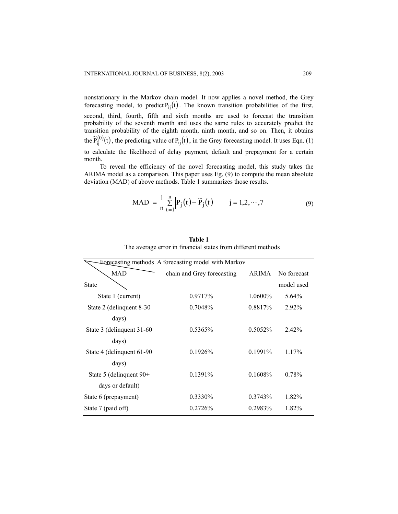nonstationary in the Markov chain model. It now applies a novel method, the Grey forecasting model, to predict  $P_{ij}(t)$ . The known transition probabilities of the first, second, third, fourth, fifth and sixth months are used to forecast the transition probability of the seventh month and uses the same rules to accurately predict the transition probability of the eighth month, ninth month, and so on. Then, it obtains the  $\tilde{P}_{ij}^{(0)}(t)$ , the predicting value of  $P_{ij}(t)$ , in the Grey forecasting model. It uses Eqn. (1) to calculate the likelihood of delay payment, default and prepayment for a certain month.

To reveal the efficiency of the novel forecasting model, this study takes the ARIMA model as a comparison. This paper uses Eg. (9) to compute the mean absolute deviation (MAD) of above methods. Table 1 summarizes those results.

$$
\text{MAD} = \frac{1}{n} \sum_{t=1}^{n} \left| P_j(t) - \widetilde{P}_j(t) \right| \qquad j = 1, 2, \cdots, 7 \tag{9}
$$

| Forecasting methods A forecasting model with Markov |                            |              |             |
|-----------------------------------------------------|----------------------------|--------------|-------------|
| MAD                                                 | chain and Grey forecasting | <b>ARIMA</b> | No forecast |
| <b>State</b>                                        |                            |              | model used  |
| State 1 (current)                                   | 0.9717%                    | 1.0600\%     | 5.64%       |
| State 2 (delinquent 8-30)                           | 0.7048\%                   | 0.8817%      | $2.92\%$    |
| days)                                               |                            |              |             |
| State 3 (delinquent 31-60)                          | $0.5365\%$                 | 0.5052%      | 2.42%       |
| days)                                               |                            |              |             |
| State 4 (delinquent 61-90)                          | 0.1926%                    | $0.1991\%$   | $1.17\%$    |
| days)                                               |                            |              |             |
| State 5 (delinquent 90+                             | $0.1391\%$                 | $0.1608\%$   | 0.78%       |
| days or default)                                    |                            |              |             |
| State 6 (prepayment)                                | 0.3330%                    | 0.3743%      | 1.82%       |
| State 7 (paid off)                                  | 0.2726%                    | 0.2983%      | 1.82%       |
|                                                     |                            |              |             |

**Table 1** The average error in financial states from different methods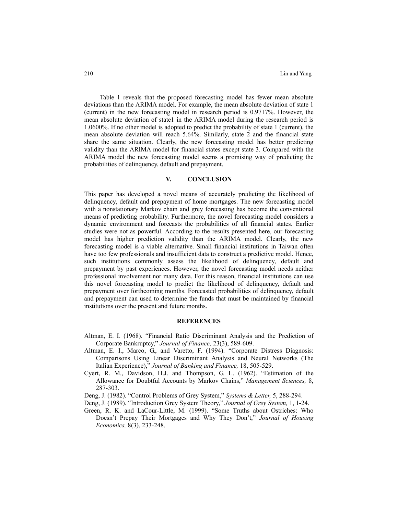Table 1 reveals that the proposed forecasting model has fewer mean absolute deviations than the ARIMA model. For example, the mean absolute deviation of state 1 (current) in the new forecasting model in research period is 0.9717%. However, the mean absolute deviation of state1 in the ARIMA model during the research period is 1.0600%. If no other model is adopted to predict the probability of state 1 (current), the mean absolute deviation will reach 5.64%. Similarly, state 2 and the financial state share the same situation. Clearly, the new forecasting model has better predicting validity than the ARIMA model for financial states except state 3. Compared with the ARIMA model the new forecasting model seems a promising way of predicting the probabilities of delinquency, default and prepayment.

#### **V. CONCLUSION**

This paper has developed a novel means of accurately predicting the likelihood of delinquency, default and prepayment of home mortgages. The new forecasting model with a nonstationary Markov chain and grey forecasting has become the conventional means of predicting probability. Furthermore, the novel forecasting model considers a dynamic environment and forecasts the probabilities of all financial states. Earlier studies were not as powerful. According to the results presented here, our forecasting model has higher prediction validity than the ARIMA model. Clearly, the new forecasting model is a viable alternative. Small financial institutions in Taiwan often have too few professionals and insufficient data to construct a predictive model. Hence, such institutions commonly assess the likelihood of delinquency, default and prepayment by past experiences. However, the novel forecasting model needs neither professional involvement nor many data. For this reason, financial institutions can use this novel forecasting model to predict the likelihood of delinquency, default and prepayment over forthcoming months. Forecasted probabilities of delinquency, default and prepayment can used to determine the funds that must be maintained by financial institutions over the present and future months.

## **REFERENCES**

- Altman, E. I. (1968). "Financial Ratio Discriminant Analysis and the Prediction of Corporate Bankruptcy," *Journal of Finance,* 23(3), 589-609.
- Altman, E. I., Marco, G., and Varetto, F. (1994). "Corporate Distress Diagnosis: Comparisons Using Linear Discriminant Analysis and Neural Networks (The Italian Experience)," *Journal of Banking and Finance,* 18, 505-529.
- Cyert, R. M., Davidson, H.J. and Thompson, G. L. (1962). "Estimation of the Allowance for Doubtful Accounts by Markov Chains," *Management Sciences,* 8, 287-303.
- Deng, J. (1982). "Control Problems of Grey System," *Systems & Letter,* 5, 288-294.
- Deng, J. (1989). "Introduction Grey System Theory," *Journal of Grey System,* 1, 1-24.
- Green, R. K. and LaCour-Little, M. (1999). "Some Truths about Ostriches: Who Doesn't Prepay Their Mortgages and Why They Don't," *Journal of Housing Economics,* 8(3), 233-248.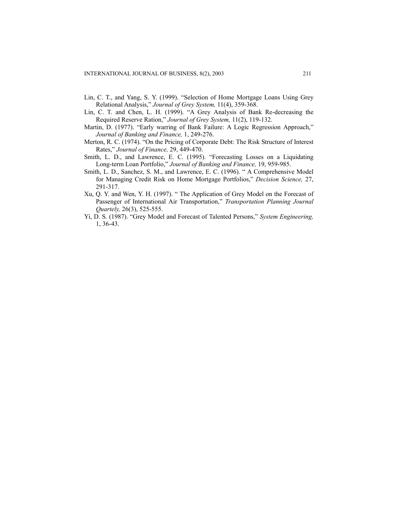- Lin, C. T., and Yang, S. Y. (1999). "Selection of Home Mortgage Loans Using Grey Relational Analysis," *Journal of Grey System,* 11(4), 359-368.
- Lin, C. T. and Chen, L. H. (1999). "A Grey Analysis of Bank Re-decreasing the Required Reserve Ration," *Journal of Grey System,* 11(2), 119-132.
- Martin, D. (1977). "Early warring of Bank Failure: A Logic Regression Approach," *Journal of Banking and Finance,* 1, 249-276.
- Merton, R. C. (1974). "On the Pricing of Corporate Debt: The Risk Structure of Interest Rates," *Journal of Finance,* 29, 449-470.
- Smith, L. D., and Lawrence, E. C. (1995). "Forecasting Losses on a Liquidating Long-term Loan Portfolio," *Journal of Banking and Finance,* 19, 959-985.
- Smith, L. D., Sanchez, S. M., and Lawrence, E. C. (1996). " A Comprehensive Model for Managing Credit Risk on Home Mortgage Portfolios," *Decision Science,* 27, 291-317.
- Xu, Q. Y. and Wen, Y. H. (1997). " The Application of Grey Model on the Forecast of Passenger of International Air Transportation," *Transportation Planning Journal Quartely,* 26(3), 525-555.
- Yi, D. S. (1987). "Grey Model and Forecast of Talented Persons," *System Engineering,* 1, 36-43.